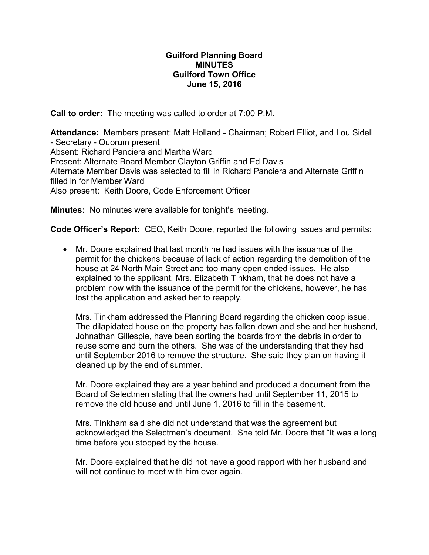## Guilford Planning Board MINUTES Guilford Town Office June 15, 2016

Call to order: The meeting was called to order at 7:00 P.M.

Attendance: Members present: Matt Holland - Chairman; Robert Elliot, and Lou Sidell - Secretary - Quorum present Absent: Richard Panciera and Martha Ward Present: Alternate Board Member Clayton Griffin and Ed Davis Alternate Member Davis was selected to fill in Richard Panciera and Alternate Griffin filled in for Member Ward Also present: Keith Doore, Code Enforcement Officer

**Minutes:** No minutes were available for tonight's meeting.

Code Officer's Report: CEO, Keith Doore, reported the following issues and permits:

 Mr. Doore explained that last month he had issues with the issuance of the permit for the chickens because of lack of action regarding the demolition of the house at 24 North Main Street and too many open ended issues. He also explained to the applicant, Mrs. Elizabeth Tinkham, that he does not have a problem now with the issuance of the permit for the chickens, however, he has lost the application and asked her to reapply.

Mrs. Tinkham addressed the Planning Board regarding the chicken coop issue. The dilapidated house on the property has fallen down and she and her husband, Johnathan Gillespie, have been sorting the boards from the debris in order to reuse some and burn the others. She was of the understanding that they had until September 2016 to remove the structure. She said they plan on having it cleaned up by the end of summer.

Mr. Doore explained they are a year behind and produced a document from the Board of Selectmen stating that the owners had until September 11, 2015 to remove the old house and until June 1, 2016 to fill in the basement.

Mrs. TInkham said she did not understand that was the agreement but acknowledged the Selectmen's document. She told Mr. Doore that "It was a long time before you stopped by the house.

Mr. Doore explained that he did not have a good rapport with her husband and will not continue to meet with him ever again.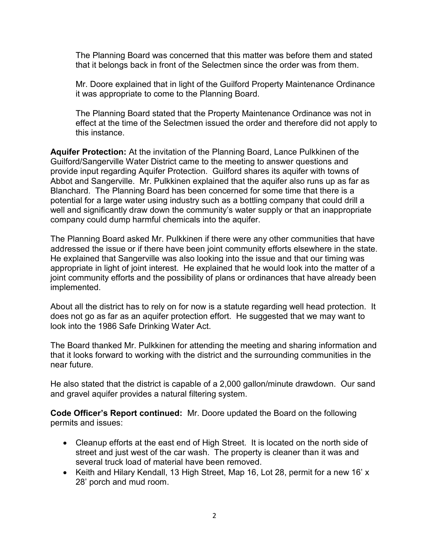The Planning Board was concerned that this matter was before them and stated that it belongs back in front of the Selectmen since the order was from them.

Mr. Doore explained that in light of the Guilford Property Maintenance Ordinance it was appropriate to come to the Planning Board.

The Planning Board stated that the Property Maintenance Ordinance was not in effect at the time of the Selectmen issued the order and therefore did not apply to this instance.

Aquifer Protection: At the invitation of the Planning Board, Lance Pulkkinen of the Guilford/Sangerville Water District came to the meeting to answer questions and provide input regarding Aquifer Protection. Guilford shares its aquifer with towns of Abbot and Sangerville. Mr. Pulkkinen explained that the aquifer also runs up as far as Blanchard. The Planning Board has been concerned for some time that there is a potential for a large water using industry such as a bottling company that could drill a well and significantly draw down the community's water supply or that an inappropriate company could dump harmful chemicals into the aquifer.

The Planning Board asked Mr. Pulkkinen if there were any other communities that have addressed the issue or if there have been joint community efforts elsewhere in the state. He explained that Sangerville was also looking into the issue and that our timing was appropriate in light of joint interest. He explained that he would look into the matter of a joint community efforts and the possibility of plans or ordinances that have already been implemented.

About all the district has to rely on for now is a statute regarding well head protection. It does not go as far as an aquifer protection effort. He suggested that we may want to look into the 1986 Safe Drinking Water Act.

The Board thanked Mr. Pulkkinen for attending the meeting and sharing information and that it looks forward to working with the district and the surrounding communities in the near future.

He also stated that the district is capable of a 2,000 gallon/minute drawdown. Our sand and gravel aquifer provides a natural filtering system.

Code Officer's Report continued: Mr. Doore updated the Board on the following permits and issues:

- Cleanup efforts at the east end of High Street. It is located on the north side of street and just west of the car wash. The property is cleaner than it was and several truck load of material have been removed.
- Keith and Hilary Kendall, 13 High Street, Map 16, Lot 28, permit for a new 16' x 28' porch and mud room.